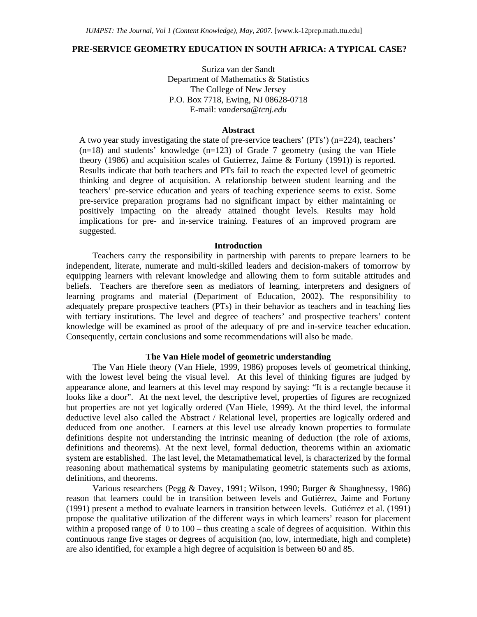# **PRE-SERVICE GEOMETRY EDUCATION IN SOUTH AFRICA: A TYPICAL CASE?**

Suriza van der Sandt Department of Mathematics & Statistics The College of New Jersey P.O. Box 7718, Ewing, NJ 08628-0718 E-mail: *vandersa@tcnj.edu* 

#### **Abstract**

A two year study investigating the state of pre-service teachers' (PTs') (n=224), teachers'  $(n=18)$  and students' knowledge  $(n=123)$  of Grade 7 geometry (using the van Hiele theory (1986) and acquisition scales of Gutierrez, Jaime & Fortuny (1991)) is reported. Results indicate that both teachers and PTs fail to reach the expected level of geometric thinking and degree of acquisition. A relationship between student learning and the teachers' pre-service education and years of teaching experience seems to exist. Some pre-service preparation programs had no significant impact by either maintaining or positively impacting on the already attained thought levels. Results may hold implications for pre- and in-service training. Features of an improved program are suggested.

## **Introduction**

Teachers carry the responsibility in partnership with parents to prepare learners to be independent, literate, numerate and multi-skilled leaders and decision-makers of tomorrow by equipping learners with relevant knowledge and allowing them to form suitable attitudes and beliefs. Teachers are therefore seen as mediators of learning, interpreters and designers of learning programs and material (Department of Education, 2002). The responsibility to adequately prepare prospective teachers (PTs) in their behavior as teachers and in teaching lies with tertiary institutions. The level and degree of teachers' and prospective teachers' content knowledge will be examined as proof of the adequacy of pre and in-service teacher education. Consequently, certain conclusions and some recommendations will also be made.

# **The Van Hiele model of geometric understanding**

The Van Hiele theory (Van Hiele, 1999, 1986) proposes levels of geometrical thinking, with the lowest level being the visual level. At this level of thinking figures are judged by appearance alone, and learners at this level may respond by saying: "It is a rectangle because it looks like a door". At the next level, the descriptive level, properties of figures are recognized but properties are not yet logically ordered (Van Hiele, 1999). At the third level, the informal deductive level also called the Abstract / Relational level, properties are logically ordered and deduced from one another. Learners at this level use already known properties to formulate definitions despite not understanding the intrinsic meaning of deduction (the role of axioms, definitions and theorems). At the next level, formal deduction, theorems within an axiomatic system are established. The last level, the Metamathematical level, is characterized by the formal reasoning about mathematical systems by manipulating geometric statements such as axioms, definitions, and theorems.

Various researchers (Pegg & Davey, 1991; Wilson, 1990; Burger & Shaughnessy, 1986) reason that learners could be in transition between levels and Gutiérrez, Jaime and Fortuny (1991) present a method to evaluate learners in transition between levels. Gutiérrez et al. (1991) propose the qualitative utilization of the different ways in which learners' reason for placement within a proposed range of 0 to 100 – thus creating a scale of degrees of acquisition. Within this continuous range five stages or degrees of acquisition (no, low, intermediate, high and complete) are also identified, for example a high degree of acquisition is between 60 and 85.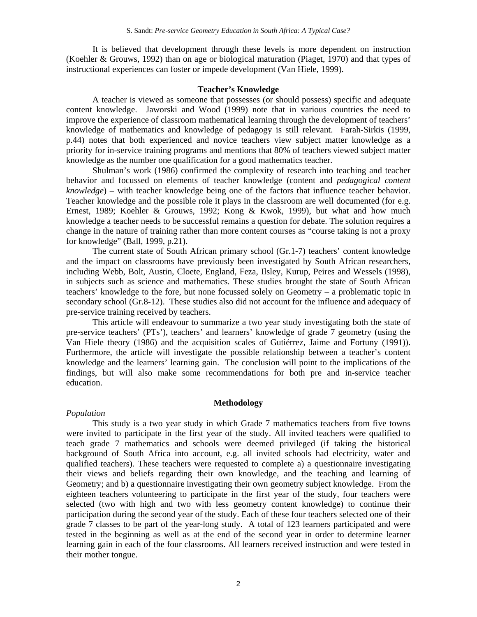It is believed that development through these levels is more dependent on instruction (Koehler & Grouws, 1992) than on age or biological maturation (Piaget, 1970) and that types of instructional experiences can foster or impede development (Van Hiele, 1999).

# **Teacher's Knowledge**

A teacher is viewed as someone that possesses (or should possess) specific and adequate content knowledge. Jaworski and Wood (1999) note that in various countries the need to improve the experience of classroom mathematical learning through the development of teachers' knowledge of mathematics and knowledge of pedagogy is still relevant. Farah-Sirkis (1999, p.44) notes that both experienced and novice teachers view subject matter knowledge as a priority for in-service training programs and mentions that 80% of teachers viewed subject matter knowledge as the number one qualification for a good mathematics teacher.

Shulman's work (1986) confirmed the complexity of research into teaching and teacher behavior and focussed on elements of teacher knowledge (content and *pedagogical content knowledge*) – with teacher knowledge being one of the factors that influence teacher behavior. Teacher knowledge and the possible role it plays in the classroom are well documented (for e.g. Ernest, 1989; Koehler & Grouws, 1992; Kong & Kwok, 1999), but what and how much knowledge a teacher needs to be successful remains a question for debate. The solution requires a change in the nature of training rather than more content courses as "course taking is not a proxy for knowledge" (Ball, 1999, p.21).

The current state of South African primary school (Gr.1-7) teachers' content knowledge and the impact on classrooms have previously been investigated by South African researchers, including Webb, Bolt, Austin, Cloete, England, Feza, Ilsley, Kurup, Peires and Wessels (1998), in subjects such as science and mathematics. These studies brought the state of South African teachers' knowledge to the fore, but none focussed solely on Geometry – a problematic topic in secondary school (Gr.8-12). These studies also did not account for the influence and adequacy of pre-service training received by teachers.

This article will endeavour to summarize a two year study investigating both the state of pre-service teachers' (PTs'), teachers' and learners' knowledge of grade 7 geometry (using the Van Hiele theory (1986) and the acquisition scales of Gutiérrez, Jaime and Fortuny (1991)). Furthermore, the article will investigate the possible relationship between a teacher's content knowledge and the learners' learning gain. The conclusion will point to the implications of the findings, but will also make some recommendations for both pre and in-service teacher education.

# **Methodology**

## *Population*

This study is a two year study in which Grade 7 mathematics teachers from five towns were invited to participate in the first year of the study. All invited teachers were qualified to teach grade 7 mathematics and schools were deemed privileged (if taking the historical background of South Africa into account, e.g. all invited schools had electricity, water and qualified teachers). These teachers were requested to complete a) a questionnaire investigating their views and beliefs regarding their own knowledge, and the teaching and learning of Geometry; and b) a questionnaire investigating their own geometry subject knowledge. From the eighteen teachers volunteering to participate in the first year of the study, four teachers were selected (two with high and two with less geometry content knowledge) to continue their participation during the second year of the study. Each of these four teachers selected one of their grade 7 classes to be part of the year-long study. A total of 123 learners participated and were tested in the beginning as well as at the end of the second year in order to determine learner learning gain in each of the four classrooms. All learners received instruction and were tested in their mother tongue.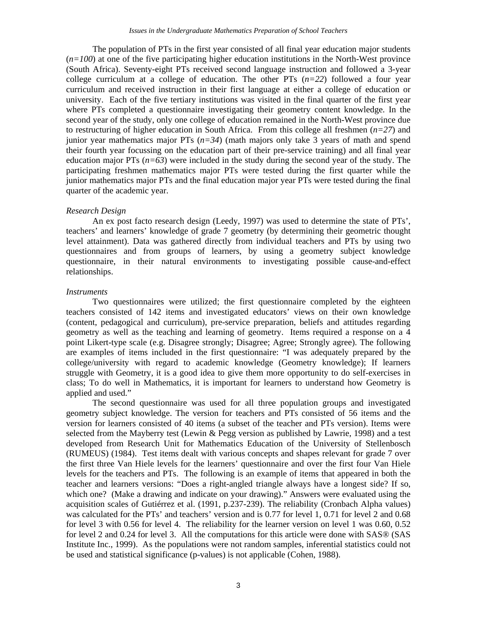The population of PTs in the first year consisted of all final year education major students  $(n=100)$  at one of the five participating higher education institutions in the North-West province (South Africa). Seventy-eight PTs received second language instruction and followed a 3-year college curriculum at a college of education. The other PTs  $(n=22)$  followed a four year curriculum and received instruction in their first language at either a college of education or university. Each of the five tertiary institutions was visited in the final quarter of the first year where PTs completed a questionnaire investigating their geometry content knowledge. In the second year of the study, only one college of education remained in the North-West province due to restructuring of higher education in South Africa. From this college all freshmen (*n=27*) and junior year mathematics major PTs (*n=34*) (math majors only take 3 years of math and spend their fourth year focussing on the education part of their pre-service training) and all final year education major PTs  $(n=63)$  were included in the study during the second year of the study. The participating freshmen mathematics major PTs were tested during the first quarter while the junior mathematics major PTs and the final education major year PTs were tested during the final quarter of the academic year.

#### *Research Design*

An ex post facto research design (Leedy, 1997) was used to determine the state of PTs', teachers' and learners' knowledge of grade 7 geometry (by determining their geometric thought level attainment). Data was gathered directly from individual teachers and PTs by using two questionnaires and from groups of learners, by using a geometry subject knowledge questionnaire, in their natural environments to investigating possible cause-and-effect relationships.

# *Instruments*

Two questionnaires were utilized; the first questionnaire completed by the eighteen teachers consisted of 142 items and investigated educators' views on their own knowledge (content, pedagogical and curriculum), pre-service preparation, beliefs and attitudes regarding geometry as well as the teaching and learning of geometry. Items required a response on a 4 point Likert-type scale (e.g. Disagree strongly; Disagree; Agree; Strongly agree). The following are examples of items included in the first questionnaire: "I was adequately prepared by the college/university with regard to academic knowledge (Geometry knowledge); If learners struggle with Geometry, it is a good idea to give them more opportunity to do self-exercises in class; To do well in Mathematics, it is important for learners to understand how Geometry is applied and used."

The second questionnaire was used for all three population groups and investigated geometry subject knowledge. The version for teachers and PTs consisted of 56 items and the version for learners consisted of 40 items (a subset of the teacher and PTs version). Items were selected from the Mayberry test (Lewin & Pegg version as published by Lawrie, 1998) and a test developed from Research Unit for Mathematics Education of the University of Stellenbosch (RUMEUS) (1984). Test items dealt with various concepts and shapes relevant for grade 7 over the first three Van Hiele levels for the learners' questionnaire and over the first four Van Hiele levels for the teachers and PTs. The following is an example of items that appeared in both the teacher and learners versions: "Does a right-angled triangle always have a longest side? If so, which one? (Make a drawing and indicate on your drawing)." Answers were evaluated using the acquisition scales of Gutiérrez et al. (1991, p.237-239). The reliability (Cronbach Alpha values) was calculated for the PTs' and teachers' version and is 0.77 for level 1, 0.71 for level 2 and 0.68 for level 3 with 0.56 for level 4. The reliability for the learner version on level 1 was 0.60, 0.52 for level 2 and 0.24 for level 3. All the computations for this article were done with SAS® (SAS Institute Inc., 1999). As the populations were not random samples, inferential statistics could not be used and statistical significance (p-values) is not applicable (Cohen, 1988).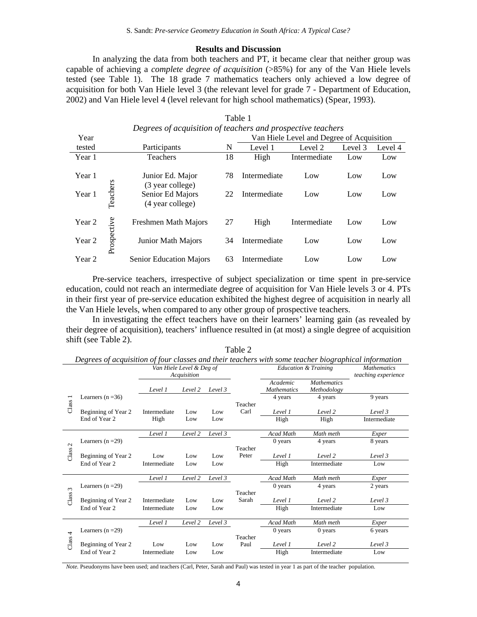# **Results and Discussion**

In analyzing the data from both teachers and PT, it became clear that neither group was capable of achieving a *complete degree of acquisition* (>85%) for any of the Van Hiele levels tested (see Table 1). The 18 grade 7 mathematics teachers only achieved a low degree of acquisition for both Van Hiele level 3 (the relevant level for grade 7 - Department of Education, 2002) and Van Hiele level 4 (level relevant for high school mathematics) (Spear, 1993).

| Degrees of acquisition of teachers and prospective teachers |             |                                           |    |              |              |         |         |
|-------------------------------------------------------------|-------------|-------------------------------------------|----|--------------|--------------|---------|---------|
| Year                                                        |             | Van Hiele Level and Degree of Acquisition |    |              |              |         |         |
| tested                                                      |             | Participants                              | N  | Level 1      | Level 2      | Level 3 | Level 4 |
| Year 1                                                      |             | <b>Teachers</b>                           | 18 | High         | Intermediate | Low     | Low     |
| Year 1                                                      |             | Junior Ed. Major<br>(3 year college)      | 78 | Intermediate | Low          | Low     | Low     |
| Year 1                                                      | Teachers    | Senior Ed Majors<br>(4 year college)      | 22 | Intermediate | Low          | Low     | Low     |
| Year 2                                                      |             | <b>Freshmen Math Majors</b>               | 27 | High         | Intermediate | Low     | Low     |
| Year 2                                                      | Prospective | Junior Math Majors                        | 34 | Intermediate | Low          | Low     | Low     |
| Year 2                                                      |             | <b>Senior Education Majors</b>            | 63 | Intermediate | Low          | Low     | Low     |

# Table 1

Pre-service teachers, irrespective of subject specialization or time spent in pre-service education, could not reach an intermediate degree of acquisition for Van Hiele levels 3 or 4. PTs in their first year of pre-service education exhibited the highest degree of acquisition in nearly all the Van Hiele levels, when compared to any other group of prospective teachers.

In investigating the effect teachers have on their learners' learning gain (as revealed by their degree of acquisition), teachers' influence resulted in (at most) a single degree of acquisition shift (see Table 2).

| Degrees of acquisition of four classes and their teachers with some teacher biographical information |                          |              |         |         |                                 |                                |                                   |              |
|------------------------------------------------------------------------------------------------------|--------------------------|--------------|---------|---------|---------------------------------|--------------------------------|-----------------------------------|--------------|
|                                                                                                      | Van Hiele Level & Deg of |              |         |         | <b>Education &amp; Training</b> |                                | <b>Mathematics</b>                |              |
|                                                                                                      |                          | Acquisition  |         |         |                                 |                                | teaching experience               |              |
|                                                                                                      |                          | Level 1      | Level 2 | Level 3 |                                 | Academic<br><b>Mathematics</b> | <b>Mathematics</b><br>Methodology |              |
| Class 1                                                                                              | Learners $(n=36)$        |              |         |         |                                 | 4 years                        | 4 years                           | 9 years      |
|                                                                                                      |                          |              |         |         | Teacher                         |                                |                                   |              |
|                                                                                                      | Beginning of Year 2      | Intermediate | Low     | Low     | Carl                            | Level 1                        | Level 2                           | Level 3      |
|                                                                                                      | End of Year 2            | High         | Low     | Low     |                                 | High                           | High                              | Intermediate |
|                                                                                                      |                          |              |         |         |                                 |                                |                                   |              |
| $\sim$                                                                                               |                          | Level 1      | Level 2 | Level 3 |                                 | Acad Math                      | Math meth                         | Exper        |
|                                                                                                      | Learners $(n=29)$        |              |         |         |                                 | 0 years                        | 4 years                           | 8 years      |
| Class:                                                                                               |                          |              |         |         | Teacher                         |                                |                                   |              |
|                                                                                                      | Beginning of Year 2      | Low          | Low     | Low     | Peter                           | Level 1                        | Level 2                           | Level 3      |
|                                                                                                      | End of Year 2            | Intermediate | Low     | Low     |                                 | High                           | Intermediate                      | Low          |
|                                                                                                      |                          |              |         |         |                                 |                                |                                   |              |
|                                                                                                      |                          | Level 1      | Level 2 | Level 3 |                                 | Acad Math                      | Math meth                         | Exper        |
| $\epsilon$<br>Class                                                                                  | Learners $(n=29)$        |              |         |         |                                 | $0$ years                      | 4 years                           | 2 years      |
|                                                                                                      |                          |              |         |         | Teacher                         |                                |                                   |              |
|                                                                                                      | Beginning of Year 2      | Intermediate | Low     | Low     | Sarah                           | Level 1                        | Level 2                           | Level 3      |
|                                                                                                      | End of Year 2            | Intermediate | Low     | Low     |                                 | High                           | Intermediate                      | Low          |
|                                                                                                      |                          |              |         |         |                                 |                                |                                   |              |
|                                                                                                      |                          | Level 1      | Level 2 | Level 3 |                                 | Acad Math                      | Math meth                         | Exper        |
| $\overline{\phantom{a}}$<br>Class                                                                    | Learners $(n=29)$        |              |         |         |                                 | 0 years                        | $0$ years                         | 6 years      |
|                                                                                                      |                          |              |         |         | Teacher                         |                                |                                   |              |
|                                                                                                      | Beginning of Year 2      | Low          | Low     | Low     | Paul                            | Level 1                        | Level 2                           | Level 3      |
|                                                                                                      | End of Year 2            | Intermediate | Low     | Low     |                                 | High                           | Intermediate                      | Low          |
|                                                                                                      |                          |              |         |         |                                 |                                |                                   |              |

Table 2

*Note.* Pseudonyms have been used; and teachers (Carl, Peter, Sarah and Paul) was tested in year 1 as part of the teacher population.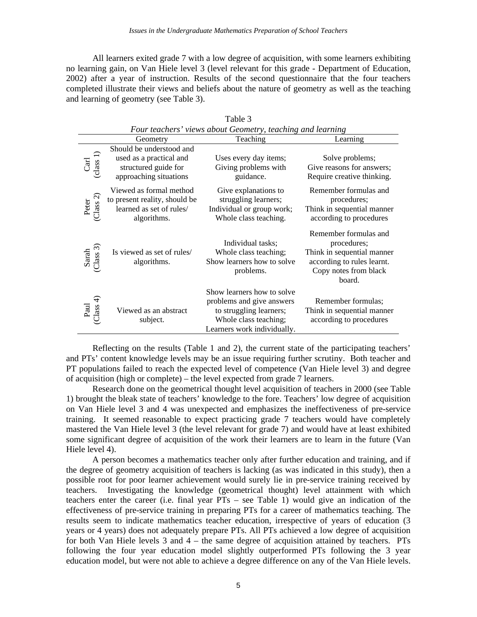All learners exited grade 7 with a low degree of acquisition, with some learners exhibiting no learning gain, on Van Hiele level 3 (level relevant for this grade - Department of Education, 2002) after a year of instruction. Results of the second questionnaire that the four teachers completed illustrate their views and beliefs about the nature of geometry as well as the teaching and learning of geometry (see Table 3).

| Four teachers' views about Geometry, teaching and learning |                                                                                                       |                                                                                                                                            |                                                                                                                                     |  |  |  |
|------------------------------------------------------------|-------------------------------------------------------------------------------------------------------|--------------------------------------------------------------------------------------------------------------------------------------------|-------------------------------------------------------------------------------------------------------------------------------------|--|--|--|
|                                                            | Geometry                                                                                              | Teaching                                                                                                                                   | Learning                                                                                                                            |  |  |  |
| $\frac{Card}{(class 1)}$                                   | Should be understood and<br>used as a practical and<br>structured guide for<br>approaching situations | Uses every day items;<br>Giving problems with<br>guidance.                                                                                 | Solve problems;<br>Give reasons for answers;<br>Require creative thinking.                                                          |  |  |  |
| Peter<br>Class 2)                                          | Viewed as formal method<br>to present reality, should be<br>learned as set of rules/<br>algorithms.   | Give explanations to<br>struggling learners;<br>Individual or group work;<br>Whole class teaching.                                         | Remember formulas and<br>procedures;<br>Think in sequential manner<br>according to procedures                                       |  |  |  |
| Sarah<br>Class 3)                                          | Is viewed as set of rules/<br>algorithms.                                                             | Individual tasks;<br>Whole class teaching;<br>Show learners how to solve<br>problems.                                                      | Remember formulas and<br>procedures;<br>Think in sequential manner<br>according to rules learnt.<br>Copy notes from black<br>board. |  |  |  |
| Paul<br>Class 4)                                           | Viewed as an abstract<br>subject.                                                                     | Show learners how to solve<br>problems and give answers<br>to struggling learners;<br>Whole class teaching;<br>Learners work individually. | Remember formulas;<br>Think in sequential manner<br>according to procedures                                                         |  |  |  |

Reflecting on the results (Table 1 and 2), the current state of the participating teachers' and PTs' content knowledge levels may be an issue requiring further scrutiny. Both teacher and PT populations failed to reach the expected level of competence (Van Hiele level 3) and degree of acquisition (high or complete) – the level expected from grade 7 learners.

Research done on the geometrical thought level acquisition of teachers in 2000 (see Table 1) brought the bleak state of teachers' knowledge to the fore. Teachers' low degree of acquisition on Van Hiele level 3 and 4 was unexpected and emphasizes the ineffectiveness of pre-service training. It seemed reasonable to expect practicing grade 7 teachers would have completely mastered the Van Hiele level 3 (the level relevant for grade 7) and would have at least exhibited some significant degree of acquisition of the work their learners are to learn in the future (Van Hiele level 4).

A person becomes a mathematics teacher only after further education and training, and if the degree of geometry acquisition of teachers is lacking (as was indicated in this study), then a possible root for poor learner achievement would surely lie in pre-service training received by teachers. Investigating the knowledge (geometrical thought) level attainment with which teachers enter the career (i.e. final year PTs – see Table 1) would give an indication of the effectiveness of pre-service training in preparing PTs for a career of mathematics teaching. The results seem to indicate mathematics teacher education, irrespective of years of education (3 years or 4 years) does not adequately prepare PTs. All PTs achieved a low degree of acquisition for both Van Hiele levels 3 and 4 – the same degree of acquisition attained by teachers. PTs following the four year education model slightly outperformed PTs following the 3 year education model, but were not able to achieve a degree difference on any of the Van Hiele levels.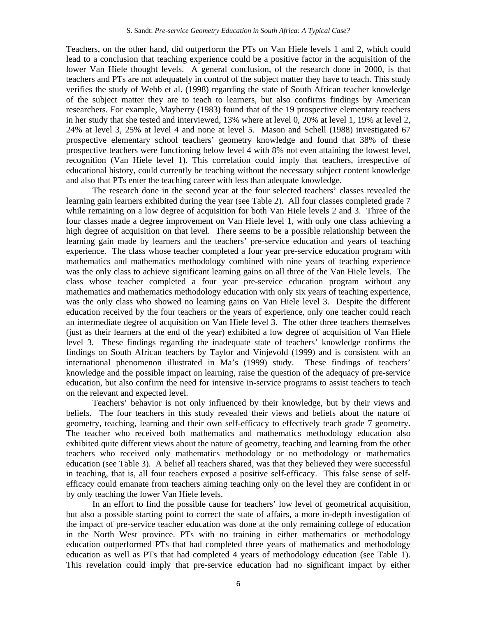Teachers, on the other hand, did outperform the PTs on Van Hiele levels 1 and 2, which could lead to a conclusion that teaching experience could be a positive factor in the acquisition of the lower Van Hiele thought levels. A general conclusion, of the research done in 2000, is that teachers and PTs are not adequately in control of the subject matter they have to teach. This study verifies the study of Webb et al. (1998) regarding the state of South African teacher knowledge of the subject matter they are to teach to learners, but also confirms findings by American researchers. For example, Mayberry (1983) found that of the 19 prospective elementary teachers in her study that she tested and interviewed, 13% where at level 0, 20% at level 1, 19% at level 2, 24% at level 3, 25% at level 4 and none at level 5. Mason and Schell (1988) investigated 67 prospective elementary school teachers' geometry knowledge and found that 38% of these prospective teachers were functioning below level 4 with 8% not even attaining the lowest level, recognition (Van Hiele level 1). This correlation could imply that teachers, irrespective of educational history, could currently be teaching without the necessary subject content knowledge and also that PTs enter the teaching career with less than adequate knowledge.

The research done in the second year at the four selected teachers' classes revealed the learning gain learners exhibited during the year (see Table 2). All four classes completed grade 7 while remaining on a low degree of acquisition for both Van Hiele levels 2 and 3. Three of the four classes made a degree improvement on Van Hiele level 1, with only one class achieving a high degree of acquisition on that level. There seems to be a possible relationship between the learning gain made by learners and the teachers' pre-service education and years of teaching experience. The class whose teacher completed a four year pre-service education program with mathematics and mathematics methodology combined with nine years of teaching experience was the only class to achieve significant learning gains on all three of the Van Hiele levels. The class whose teacher completed a four year pre-service education program without any mathematics and mathematics methodology education with only six years of teaching experience, was the only class who showed no learning gains on Van Hiele level 3. Despite the different education received by the four teachers or the years of experience, only one teacher could reach an intermediate degree of acquisition on Van Hiele level 3. The other three teachers themselves (just as their learners at the end of the year) exhibited a low degree of acquisition of Van Hiele level 3. These findings regarding the inadequate state of teachers' knowledge confirms the findings on South African teachers by Taylor and Vinjevold (1999) and is consistent with an international phenomenon illustrated in Ma's (1999) study. These findings of teachers' knowledge and the possible impact on learning, raise the question of the adequacy of pre-service education, but also confirm the need for intensive in-service programs to assist teachers to teach on the relevant and expected level.

Teachers' behavior is not only influenced by their knowledge, but by their views and beliefs. The four teachers in this study revealed their views and beliefs about the nature of geometry, teaching, learning and their own self-efficacy to effectively teach grade 7 geometry. The teacher who received both mathematics and mathematics methodology education also exhibited quite different views about the nature of geometry, teaching and learning from the other teachers who received only mathematics methodology or no methodology or mathematics education (see Table 3). A belief all teachers shared, was that they believed they were successful in teaching, that is, all four teachers exposed a positive self-efficacy. This false sense of selfefficacy could emanate from teachers aiming teaching only on the level they are confident in or by only teaching the lower Van Hiele levels.

In an effort to find the possible cause for teachers' low level of geometrical acquisition, but also a possible starting point to correct the state of affairs, a more in-depth investigation of the impact of pre-service teacher education was done at the only remaining college of education in the North West province. PTs with no training in either mathematics or methodology education outperformed PTs that had completed three years of mathematics and methodology education as well as PTs that had completed 4 years of methodology education (see Table 1). This revelation could imply that pre-service education had no significant impact by either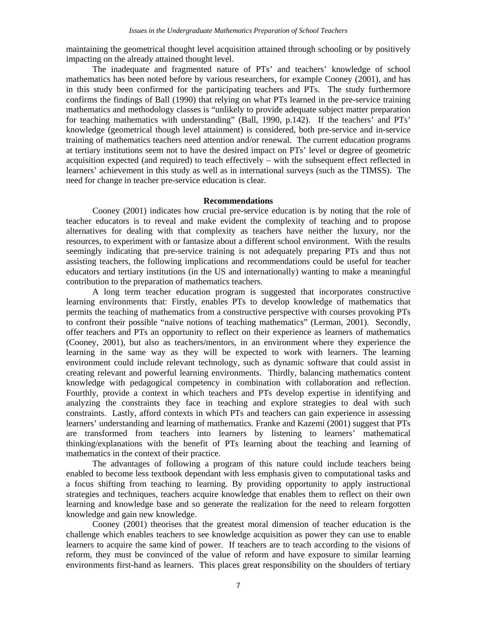maintaining the geometrical thought level acquisition attained through schooling or by positively impacting on the already attained thought level.

The inadequate and fragmented nature of PTs' and teachers' knowledge of school mathematics has been noted before by various researchers, for example Cooney (2001), and has in this study been confirmed for the participating teachers and PTs. The study furthermore confirms the findings of Ball (1990) that relying on what PTs learned in the pre-service training mathematics and methodology classes is "unlikely to provide adequate subject matter preparation for teaching mathematics with understanding" (Ball, 1990, p.142). If the teachers' and PTs' knowledge (geometrical though level attainment) is considered, both pre-service and in-service training of mathematics teachers need attention and/or renewal. The current education programs at tertiary institutions seem not to have the desired impact on PTs' level or degree of geometric acquisition expected (and required) to teach effectively – with the subsequent effect reflected in learners' achievement in this study as well as in international surveys (such as the TIMSS). The need for change in teacher pre-service education is clear.

#### **Recommendations**

Cooney (2001) indicates how crucial pre-service education is by noting that the role of teacher educators is to reveal and make evident the complexity of teaching and to propose alternatives for dealing with that complexity as teachers have neither the luxury, nor the resources, to experiment with or fantasize about a different school environment. With the results seemingly indicating that pre-service training is not adequately preparing PTs and thus not assisting teachers, the following implications and recommendations could be useful for teacher educators and tertiary institutions (in the US and internationally) wanting to make a meaningful contribution to the preparation of mathematics teachers.

A long term teacher education program is suggested that incorporates constructive learning environments that: Firstly, enables PTs to develop knowledge of mathematics that permits the teaching of mathematics from a constructive perspective with courses provoking PTs to confront their possible "naïve notions of teaching mathematics" (Lerman, 2001). Secondly, offer teachers and PTs an opportunity to reflect on their experience as learners of mathematics (Cooney, 2001), but also as teachers/mentors, in an environment where they experience the learning in the same way as they will be expected to work with learners. The learning environment could include relevant technology, such as dynamic software that could assist in creating relevant and powerful learning environments. Thirdly, balancing mathematics content knowledge with pedagogical competency in combination with collaboration and reflection. Fourthly, provide a context in which teachers and PTs develop expertise in identifying and analyzing the constraints they face in teaching and explore strategies to deal with such constraints. Lastly, afford contexts in which PTs and teachers can gain experience in assessing learners' understanding and learning of mathematics. Franke and Kazemi (2001) suggest that PTs are transformed from teachers into learners by listening to learners' mathematical thinking/explanations with the benefit of PTs learning about the teaching and learning of mathematics in the context of their practice.

The advantages of following a program of this nature could include teachers being enabled to become less textbook dependant with less emphasis given to computational tasks and a focus shifting from teaching to learning. By providing opportunity to apply instructional strategies and techniques, teachers acquire knowledge that enables them to reflect on their own learning and knowledge base and so generate the realization for the need to relearn forgotten knowledge and gain new knowledge.

Cooney (2001) theorises that the greatest moral dimension of teacher education is the challenge which enables teachers to see knowledge acquisition as power they can use to enable learners to acquire the same kind of power. If teachers are to teach according to the visions of reform, they must be convinced of the value of reform and have exposure to similar learning environments first-hand as learners. This places great responsibility on the shoulders of tertiary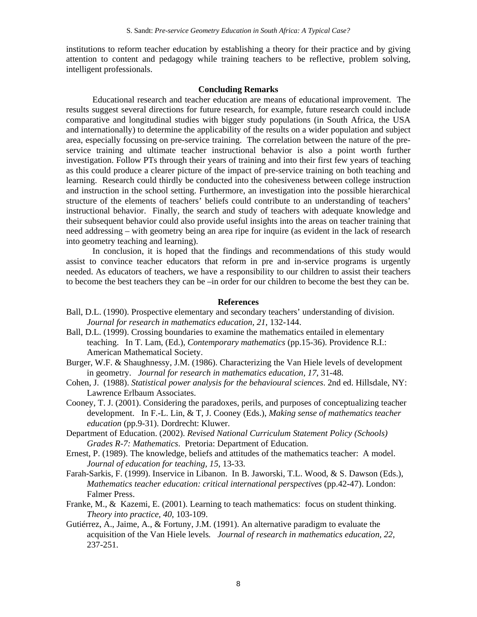institutions to reform teacher education by establishing a theory for their practice and by giving attention to content and pedagogy while training teachers to be reflective, problem solving, intelligent professionals.

# **Concluding Remarks**

Educational research and teacher education are means of educational improvement. The results suggest several directions for future research, for example, future research could include comparative and longitudinal studies with bigger study populations (in South Africa, the USA and internationally) to determine the applicability of the results on a wider population and subject area, especially focussing on pre-service training. The correlation between the nature of the preservice training and ultimate teacher instructional behavior is also a point worth further investigation. Follow PTs through their years of training and into their first few years of teaching as this could produce a clearer picture of the impact of pre-service training on both teaching and learning. Research could thirdly be conducted into the cohesiveness between college instruction and instruction in the school setting. Furthermore, an investigation into the possible hierarchical structure of the elements of teachers' beliefs could contribute to an understanding of teachers' instructional behavior. Finally, the search and study of teachers with adequate knowledge and their subsequent behavior could also provide useful insights into the areas on teacher training that need addressing – with geometry being an area ripe for inquire (as evident in the lack of research into geometry teaching and learning).

In conclusion, it is hoped that the findings and recommendations of this study would assist to convince teacher educators that reform in pre and in-service programs is urgently needed. As educators of teachers, we have a responsibility to our children to assist their teachers to become the best teachers they can be –in order for our children to become the best they can be.

## **References**

- Ball, D.L. (1990). Prospective elementary and secondary teachers' understanding of division. *Journal for research in mathematics education, 21*, 132-144.
- Ball, D.L. (1999). Crossing boundaries to examine the mathematics entailed in elementary teaching. In T. Lam, (Ed.), *Contemporary mathematics* (pp.15-36). Providence R.I.: American Mathematical Society.
- Burger, W.F. & Shaughnessy, J.M. (1986). Characterizing the Van Hiele levels of development in geometry. *Journal for research in mathematics education, 17*, 31-48.
- Cohen, J. (1988). *Statistical power analysis for the behavioural sciences*. 2nd ed. Hillsdale, NY: Lawrence Erlbaum Associates.
- Cooney, T. J. (2001). Considering the paradoxes, perils, and purposes of conceptualizing teacher development. In F.-L. Lin, & T, J. Cooney (Eds.), *Making sense of mathematics teacher education* (pp.9-31). Dordrecht: Kluwer.
- Department of Education. (2002). *Revised National Curriculum Statement Policy (Schools) Grades R-7: Mathematics*. Pretoria: Department of Education.
- Ernest, P. (1989). The knowledge, beliefs and attitudes of the mathematics teacher: A model. *Journal of education for teaching, 15*, 13-33.
- Farah-Sarkis, F. (1999). Inservice in Libanon. In B. Jaworski, T.L. Wood, & S. Dawson (Eds.), *Mathematics teacher education: critical international perspectives (pp.42-47). London:* Falmer Press.
- Franke, M., & Kazemi, E. (2001). Learning to teach mathematics: focus on student thinking. *Theory into practice, 40*, 103-109.
- Gutiérrez, A., Jaime, A., & Fortuny, J.M. (1991). An alternative paradigm to evaluate the acquisition of the Van Hiele levels*. Journal of research in mathematics education, 22,* 237-251.